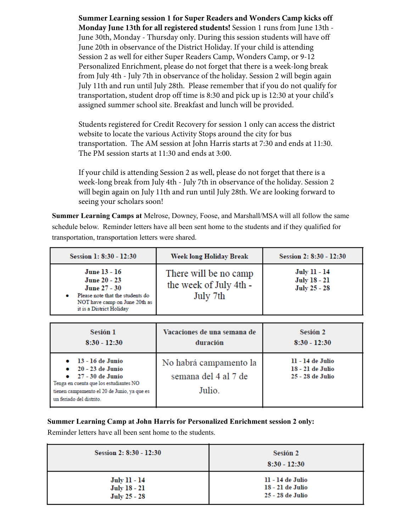**Summer Learning session 1 for Super Readers and Wonders Camp kicks off Monday June 13th for all registered students!** Session 1 runs from June 13th - June 30th, Monday - Thursday only. During this session students will have off June 20th in observance of the District Holiday. If your child is attending Session 2 as well for either Super Readers Camp, Wonders Camp, or 9-12 Personalized Enrichment, please do not forget that there is a week-long break from July 4th - July 7th in observance of the holiday. Session 2 will begin again July 11th and run until July 28th. Please remember that if you do not qualify for transportation, student drop off time is 8:30 and pick up is 12:30 at your child's assigned summer school site. Breakfast and lunch will be provided.

Students registered for Credit Recovery for session 1 only can access the district website to locate the various Activity Stops around the city for bus transportation. The AM session at John Harris starts at 7:30 and ends at 11:30. The PM session starts at 11:30 and ends at 3:00.

If your child is attending Session 2 as well, please do not forget that there is a week-long break from July 4th - July 7th in observance of the holiday. Session 2 will begin again on July 11th and run until July 28th. We are looking forward to seeing your scholars soon!

**Summer Learning Camps at** Melrose, Downey, Foose, and Marshall/MSA will all follow the same schedule below. Reminder letters have all been sent home to the students and if they qualified for transportation, transportation letters were shared.

| Session 1: 8:30 - 12:30                                                                                                                            | Week long Holiday Break                                     | Session 2: 8:30 - 12:30                                           |
|----------------------------------------------------------------------------------------------------------------------------------------------------|-------------------------------------------------------------|-------------------------------------------------------------------|
| June 13 - 16<br>June 20 - 23<br>June 27 - 30<br>Please note that the students do<br>٠<br>NOT have camp on June 20th as<br>it is a District Holiday | There will be no camp<br>the week of July 4th -<br>July 7th | <b>July 11 - 14</b><br><b>July 18 - 21</b><br><b>July 25 - 28</b> |
| Sesión 1<br>$8:30 - 12:30$                                                                                                                         | Vacaciones de una semana de<br>duración                     | Sesión 2<br>$8:30 - 12:30$                                        |
|                                                                                                                                                    |                                                             |                                                                   |

| Tenga en cuenta que los estudiantes NO<br>Julio.<br>tienen campamento el 20 de Junio, ya que es<br>un feriado del distrito. | $\bullet$ 20 - 23 de Junio<br>$\bullet$ 27 - 30 de Junio | 18 - 21 de Julio<br>25 - 28 de Julio |
|-----------------------------------------------------------------------------------------------------------------------------|----------------------------------------------------------|--------------------------------------|
|-----------------------------------------------------------------------------------------------------------------------------|----------------------------------------------------------|--------------------------------------|

## **Summer Learning Camp at John Harris for Personalized Enrichment session 2 only:**

Reminder letters have all been sent home to the students.

| Session 2: 8:30 - 12:30 | Sesión 2<br>$8:30 - 12:30$ |
|-------------------------|----------------------------|
| <b>July 11 - 14</b>     | 11 - 14 de Julio           |
| <b>July 18 - 21</b>     | 18 - 21 de Julio           |
| <b>July 25 - 28</b>     | 25 - 28 de Julio           |